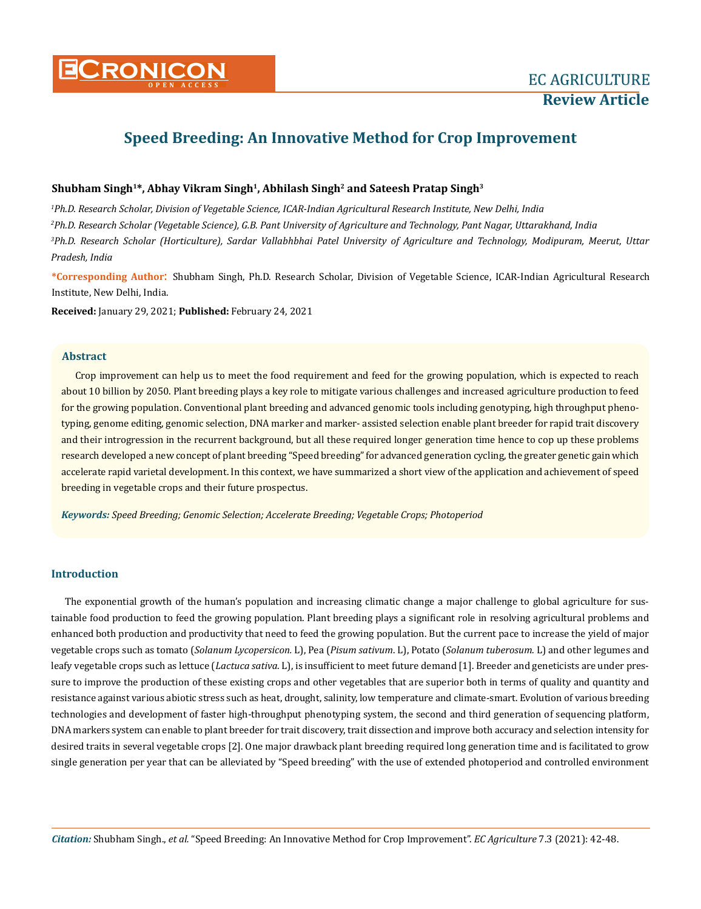# **Speed Breeding: An Innovative Method for Crop Improvement**

# Shubham Singh<sup>1\*</sup>, Abhay Vikram Singh<sup>1</sup>, Abhilash Singh<sup>2</sup> and Sateesh Pratap Singh<sup>3</sup>

 *Ph.D. Research Scholar, Division of Vegetable Science, ICAR-Indian Agricultural Research Institute, New Delhi, India Ph.D. Research Scholar (Vegetable Science), G.B. Pant University of Agriculture and Technology, Pant Nagar, Uttarakhand, India Ph.D. Research Scholar (Horticulture), Sardar Vallabhbhai Patel University of Agriculture and Technology, Modipuram, Meerut, Uttar Pradesh, India*

**\*Corresponding Author**: Shubham Singh, Ph.D. Research Scholar, Division of Vegetable Science, ICAR-Indian Agricultural Research Institute, New Delhi, India.

**Received:** January 29, 2021; **Published:** February 24, 2021

#### **Abstract**

Crop improvement can help us to meet the food requirement and feed for the growing population, which is expected to reach about 10 billion by 2050. Plant breeding plays a key role to mitigate various challenges and increased agriculture production to feed for the growing population. Conventional plant breeding and advanced genomic tools including genotyping, high throughput phenotyping, genome editing, genomic selection, DNA marker and marker- assisted selection enable plant breeder for rapid trait discovery and their introgression in the recurrent background, but all these required longer generation time hence to cop up these problems research developed a new concept of plant breeding "Speed breeding" for advanced generation cycling, the greater genetic gain which accelerate rapid varietal development. In this context, we have summarized a short view of the application and achievement of speed breeding in vegetable crops and their future prospectus.

*Keywords: Speed Breeding; Genomic Selection; Accelerate Breeding; Vegetable Crops; Photoperiod*

## **Introduction**

The exponential growth of the human's population and increasing climatic change a major challenge to global agriculture for sustainable food production to feed the growing population. Plant breeding plays a significant role in resolving agricultural problems and enhanced both production and productivity that need to feed the growing population. But the current pace to increase the yield of major vegetable crops such as tomato (*Solanum Lycopersicon.* L), Pea (*Pisum sativum*. L), Potato (*Solanum tuberosum*. L) and other legumes and leafy vegetable crops such as lettuce (*Lactuca sativa*. L), is insufficient to meet future demand [1]. Breeder and geneticists are under pressure to improve the production of these existing crops and other vegetables that are superior both in terms of quality and quantity and resistance against various abiotic stress such as heat, drought, salinity, low temperature and climate-smart. Evolution of various breeding technologies and development of faster high-throughput phenotyping system, the second and third generation of sequencing platform, DNA markers system can enable to plant breeder for trait discovery, trait dissection and improve both accuracy and selection intensity for desired traits in several vegetable crops [2]. One major drawback plant breeding required long generation time and is facilitated to grow single generation per year that can be alleviated by "Speed breeding" with the use of extended photoperiod and controlled environment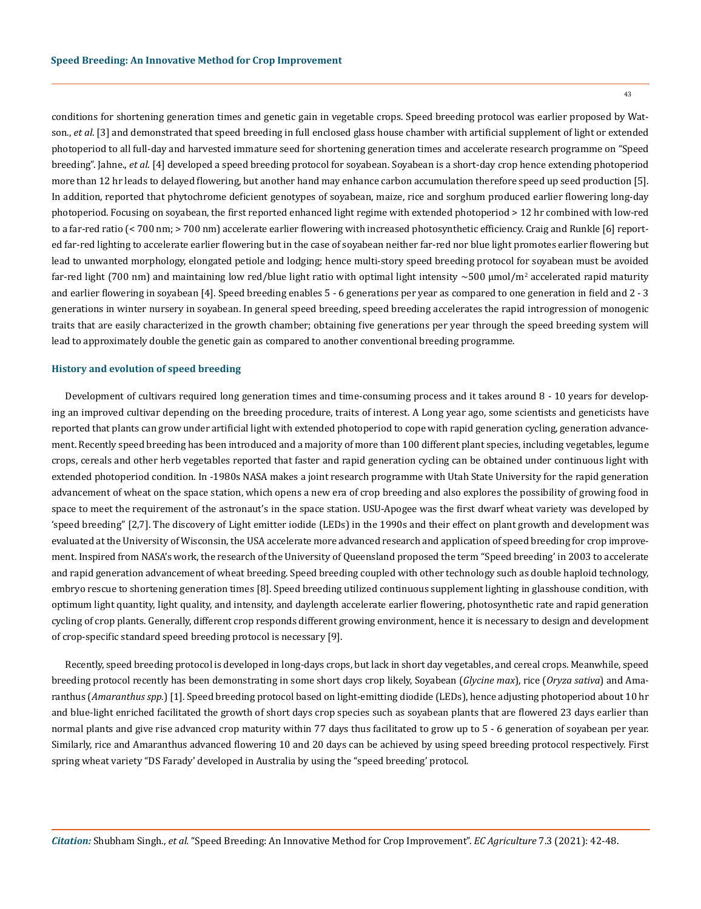43

conditions for shortening generation times and genetic gain in vegetable crops. Speed breeding protocol was earlier proposed by Watson., *et al*. [3] and demonstrated that speed breeding in full enclosed glass house chamber with artificial supplement of light or extended photoperiod to all full-day and harvested immature seed for shortening generation times and accelerate research programme on "Speed breeding". Jahne., *et al*. [4] developed a speed breeding protocol for soyabean. Soyabean is a short-day crop hence extending photoperiod more than 12 hr leads to delayed flowering, but another hand may enhance carbon accumulation therefore speed up seed production [5]. In addition, reported that phytochrome deficient genotypes of soyabean, maize, rice and sorghum produced earlier flowering long-day photoperiod. Focusing on soyabean, the first reported enhanced light regime with extended photoperiod > 12 hr combined with low-red to a far-red ratio (< 700 nm; > 700 nm) accelerate earlier flowering with increased photosynthetic efficiency. Craig and Runkle [6] reported far-red lighting to accelerate earlier flowering but in the case of soyabean neither far-red nor blue light promotes earlier flowering but lead to unwanted morphology, elongated petiole and lodging; hence multi-story speed breeding protocol for soyabean must be avoided far-red light (700 nm) and maintaining low red/blue light ratio with optimal light intensity  $\sim$ 500  $\mu$ mol/m<sup>2</sup> accelerated rapid maturity and earlier flowering in soyabean [4]. Speed breeding enables 5 - 6 generations per year as compared to one generation in field and 2 - 3 generations in winter nursery in soyabean. In general speed breeding, speed breeding accelerates the rapid introgression of monogenic traits that are easily characterized in the growth chamber; obtaining five generations per year through the speed breeding system will lead to approximately double the genetic gain as compared to another conventional breeding programme.

#### **History and evolution of speed breeding**

Development of cultivars required long generation times and time-consuming process and it takes around 8 - 10 years for developing an improved cultivar depending on the breeding procedure, traits of interest. A Long year ago, some scientists and geneticists have reported that plants can grow under artificial light with extended photoperiod to cope with rapid generation cycling, generation advancement. Recently speed breeding has been introduced and a majority of more than 100 different plant species, including vegetables, legume crops, cereals and other herb vegetables reported that faster and rapid generation cycling can be obtained under continuous light with extended photoperiod condition. In -1980s NASA makes a joint research programme with Utah State University for the rapid generation advancement of wheat on the space station, which opens a new era of crop breeding and also explores the possibility of growing food in space to meet the requirement of the astronaut's in the space station. USU-Apogee was the first dwarf wheat variety was developed by 'speed breeding" [2,7]. The discovery of Light emitter iodide (LEDs) in the 1990s and their effect on plant growth and development was evaluated at the University of Wisconsin, the USA accelerate more advanced research and application of speed breeding for crop improvement. Inspired from NASA's work, the research of the University of Queensland proposed the term "Speed breeding' in 2003 to accelerate and rapid generation advancement of wheat breeding. Speed breeding coupled with other technology such as double haploid technology, embryo rescue to shortening generation times [8]. Speed breeding utilized continuous supplement lighting in glasshouse condition, with optimum light quantity, light quality, and intensity, and daylength accelerate earlier flowering, photosynthetic rate and rapid generation cycling of crop plants. Generally, different crop responds different growing environment, hence it is necessary to design and development of crop-specific standard speed breeding protocol is necessary [9].

Recently, speed breeding protocol is developed in long-days crops, but lack in short day vegetables, and cereal crops. Meanwhile, speed breeding protocol recently has been demonstrating in some short days crop likely, Soyabean (*Glycine max*), rice (*Oryza sativa*) and Amaranthus (*Amaranthus spp*.) [1]. Speed breeding protocol based on light-emitting diodide (LEDs), hence adjusting photoperiod about 10 hr and blue-light enriched facilitated the growth of short days crop species such as soyabean plants that are flowered 23 days earlier than normal plants and give rise advanced crop maturity within 77 days thus facilitated to grow up to 5 - 6 generation of soyabean per year. Similarly, rice and Amaranthus advanced flowering 10 and 20 days can be achieved by using speed breeding protocol respectively. First spring wheat variety "DS Farady' developed in Australia by using the "speed breeding' protocol.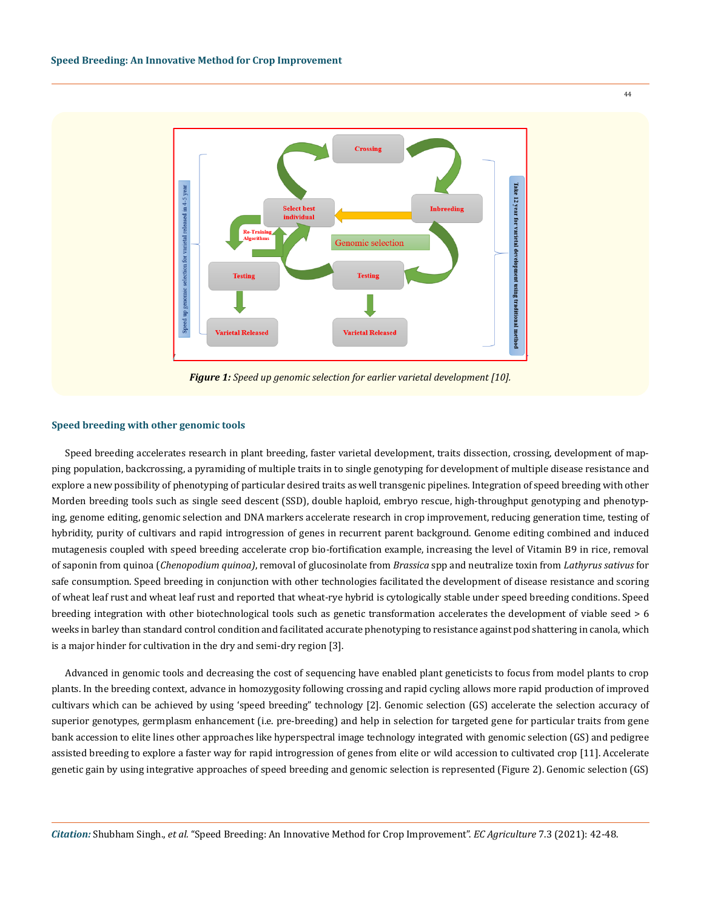

*Figure 1: Speed up genomic selection for earlier varietal development [10].*

#### **Speed breeding with other genomic tools**

Speed breeding accelerates research in plant breeding, faster varietal development, traits dissection, crossing, development of mapping population, backcrossing, a pyramiding of multiple traits in to single genotyping for development of multiple disease resistance and explore a new possibility of phenotyping of particular desired traits as well transgenic pipelines. Integration of speed breeding with other Morden breeding tools such as single seed descent (SSD), double haploid, embryo rescue, high-throughput genotyping and phenotyping, genome editing, genomic selection and DNA markers accelerate research in crop improvement, reducing generation time, testing of hybridity, purity of cultivars and rapid introgression of genes in recurrent parent background. Genome editing combined and induced mutagenesis coupled with speed breeding accelerate crop bio-fortification example, increasing the level of Vitamin B9 in rice, removal of saponin from quinoa (*Chenopodium quinoa)*, removal of glucosinolate from *Brassica* spp and neutralize toxin from *Lathyrus sativus* for safe consumption. Speed breeding in conjunction with other technologies facilitated the development of disease resistance and scoring of wheat leaf rust and wheat leaf rust and reported that wheat-rye hybrid is cytologically stable under speed breeding conditions. Speed breeding integration with other biotechnological tools such as genetic transformation accelerates the development of viable seed > 6 weeks in barley than standard control condition and facilitated accurate phenotyping to resistance against pod shattering in canola, which is a major hinder for cultivation in the dry and semi-dry region [3].

Advanced in genomic tools and decreasing the cost of sequencing have enabled plant geneticists to focus from model plants to crop plants. In the breeding context, advance in homozygosity following crossing and rapid cycling allows more rapid production of improved cultivars which can be achieved by using 'speed breeding" technology [2]. Genomic selection (GS) accelerate the selection accuracy of superior genotypes, germplasm enhancement (i.e. pre-breeding) and help in selection for targeted gene for particular traits from gene bank accession to elite lines other approaches like hyperspectral image technology integrated with genomic selection (GS) and pedigree assisted breeding to explore a faster way for rapid introgression of genes from elite or wild accession to cultivated crop [11]. Accelerate genetic gain by using integrative approaches of speed breeding and genomic selection is represented (Figure 2). Genomic selection (GS)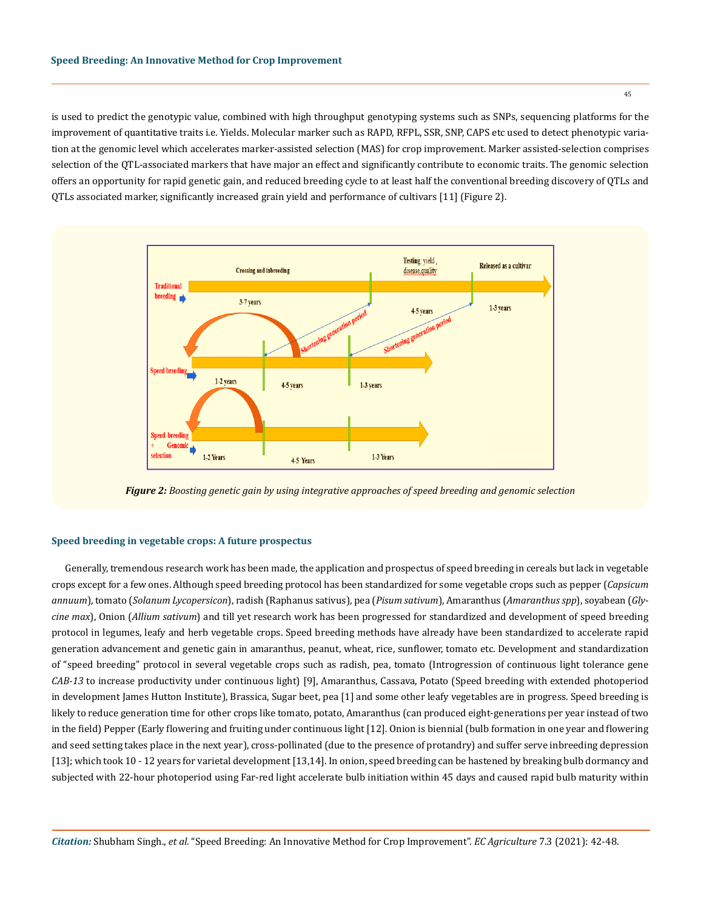is used to predict the genotypic value, combined with high throughput genotyping systems such as SNPs, sequencing platforms for the improvement of quantitative traits i.e. Yields. Molecular marker such as RAPD, RFPL, SSR, SNP, CAPS etc used to detect phenotypic variation at the genomic level which accelerates marker-assisted selection (MAS) for crop improvement. Marker assisted-selection comprises selection of the QTL-associated markers that have major an effect and significantly contribute to economic traits. The genomic selection offers an opportunity for rapid genetic gain, and reduced breeding cycle to at least half the conventional breeding discovery of QTLs and QTLs associated marker, significantly increased grain yield and performance of cultivars [11] (Figure 2).



*Figure 2: Boosting genetic gain by using integrative approaches of speed breeding and genomic selection*

## **Speed breeding in vegetable crops: A future prospectus**

Generally, tremendous research work has been made, the application and prospectus of speed breeding in cereals but lack in vegetable crops except for a few ones. Although speed breeding protocol has been standardized for some vegetable crops such as pepper (*Capsicum annuum*), tomato (*Solanum Lycopersicon*), radish (Raphanus sativus), pea (*Pisum sativum*), Amaranthus (*Amaranthus spp*), soyabean (*Glycine max*), Onion (*Allium sativum*) and till yet research work has been progressed for standardized and development of speed breeding protocol in legumes, leafy and herb vegetable crops. Speed breeding methods have already have been standardized to accelerate rapid generation advancement and genetic gain in amaranthus, peanut, wheat, rice, sunflower, tomato etc. Development and standardization of "speed breeding" protocol in several vegetable crops such as radish, pea, tomato (Introgression of continuous light tolerance gene *CAB-13* to increase productivity under continuous light) [9], Amaranthus, Cassava, Potato (Speed breeding with extended photoperiod in development James Hutton Institute), Brassica, Sugar beet, pea [1] and some other leafy vegetables are in progress. Speed breeding is likely to reduce generation time for other crops like tomato, potato, Amaranthus (can produced eight-generations per year instead of two in the field) Pepper (Early flowering and fruiting under continuous light [12]. Onion is biennial (bulb formation in one year and flowering and seed setting takes place in the next year), cross-pollinated (due to the presence of protandry) and suffer serve inbreeding depression [13]; which took 10 - 12 years for varietal development [13,14]. In onion, speed breeding can be hastened by breaking bulb dormancy and subjected with 22-hour photoperiod using Far-red light accelerate bulb initiation within 45 days and caused rapid bulb maturity within

45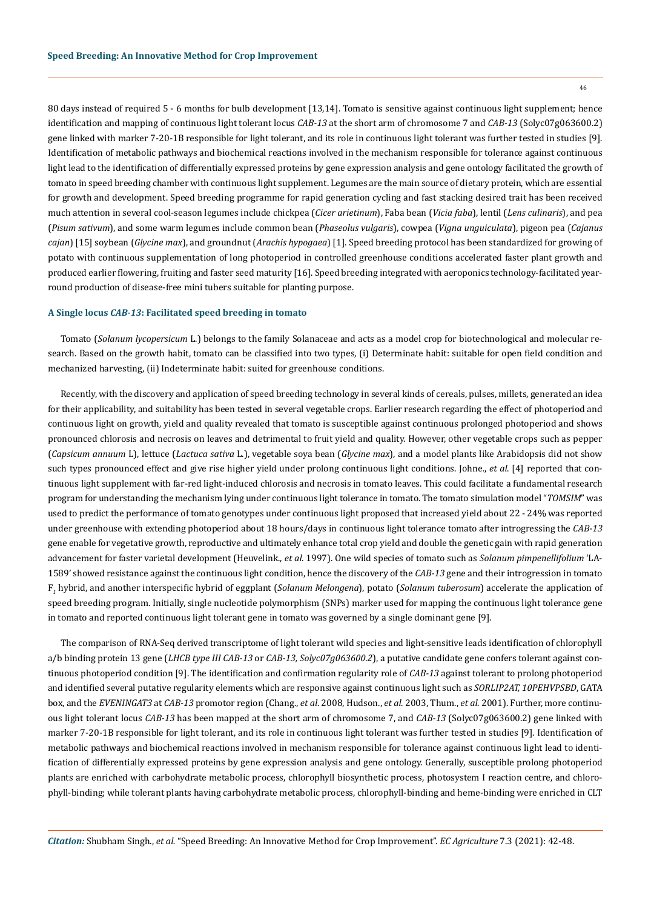46

80 days instead of required 5 - 6 months for bulb development [13,14]. Tomato is sensitive against continuous light supplement; hence identification and mapping of continuous light tolerant locus *CAB-13* at the short arm of chromosome 7 and *CAB-13* (Solyc07g063600.2) gene linked with marker 7-20-1B responsible for light tolerant, and its role in continuous light tolerant was further tested in studies [9]. Identification of metabolic pathways and biochemical reactions involved in the mechanism responsible for tolerance against continuous light lead to the identification of differentially expressed proteins by gene expression analysis and gene ontology facilitated the growth of tomato in speed breeding chamber with continuous light supplement. Legumes are the main source of dietary protein, which are essential for growth and development. Speed breeding programme for rapid generation cycling and fast stacking desired trait has been received much attention in several cool-season legumes include chickpea (*Cicer arietinum*), Faba bean (*Vicia faba*), lentil (*Lens culinaris*), and pea (*Pisum sativum*), and some warm legumes include common bean (*Phaseolus vulgaris*), cowpea (*Vigna unguiculata*), pigeon pea (*Cajanus cajan*) [15] soybean (*Glycine max*), and groundnut (*Arachis hypogaea*) [1]. Speed breeding protocol has been standardized for growing of potato with continuous supplementation of long photoperiod in controlled greenhouse conditions accelerated faster plant growth and produced earlier flowering, fruiting and faster seed maturity [16]. Speed breeding integrated with aeroponics technology-facilitated yearround production of disease-free mini tubers suitable for planting purpose.

#### **A Single locus** *CAB-13***: Facilitated speed breeding in tomato**

Tomato (*Solanum lycopersicum* L.) belongs to the family Solanaceae and acts as a model crop for biotechnological and molecular research. Based on the growth habit, tomato can be classified into two types, (i) Determinate habit: suitable for open field condition and mechanized harvesting, (ii) Indeterminate habit: suited for greenhouse conditions.

Recently, with the discovery and application of speed breeding technology in several kinds of cereals, pulses, millets, generated an idea for their applicability, and suitability has been tested in several vegetable crops. Earlier research regarding the effect of photoperiod and continuous light on growth, yield and quality revealed that tomato is susceptible against continuous prolonged photoperiod and shows pronounced chlorosis and necrosis on leaves and detrimental to fruit yield and quality. However, other vegetable crops such as pepper (*Capsicum annuum* L), lettuce (*Lactuca sativa* L.), vegetable soya bean (*Glycine max*), and a model plants like Arabidopsis did not show such types pronounced effect and give rise higher yield under prolong continuous light conditions. Johne., *et al*. [4] reported that continuous light supplement with far-red light-induced chlorosis and necrosis in tomato leaves. This could facilitate a fundamental research program for understanding the mechanism lying under continuous light tolerance in tomato. The tomato simulation model "*TOMSIM*" was used to predict the performance of tomato genotypes under continuous light proposed that increased yield about 22 - 24% was reported under greenhouse with extending photoperiod about 18 hours/days in continuous light tolerance tomato after introgressing the *CAB-13* gene enable for vegetative growth, reproductive and ultimately enhance total crop yield and double the genetic gain with rapid generation advancement for faster varietal development (Heuvelink., *et al.* 1997). One wild species of tomato such as *Solanum pimpenellifolium* 'LA-1589' showed resistance against the continuous light condition, hence the discovery of the *CAB-13* gene and their introgression in tomato F*1* hybrid, and another interspecific hybrid of eggplant (*Solanum Melongena*), potato (*Solanum tuberosum*) accelerate the application of speed breeding program. Initially, single nucleotide polymorphism (SNPs) marker used for mapping the continuous light tolerance gene in tomato and reported continuous light tolerant gene in tomato was governed by a single dominant gene [9].

The comparison of RNA-Seq derived transcriptome of light tolerant wild species and light-sensitive leads identification of chlorophyll a/b binding protein 13 gene (*LHCB type III CAB-13* or *CAB-13, Solyc07g063600.2*), a putative candidate gene confers tolerant against continuous photoperiod condition [9]. The identification and confirmation regularity role of *CAB-13* against tolerant to prolong photoperiod and identified several putative regularity elements which are responsive against continuous light such as *SORLIP2AT, 10PEHVPSBD*, GATA box, and the *EVENINGAT3* at *CAB-13* promotor region (Chang., *et al*. 2008, Hudson., *et al*. 2003, Thum., *et al*. 2001). Further, more continuous light tolerant locus *CAB-13* has been mapped at the short arm of chromosome 7, and *CAB-13* (Solyc07g063600.2) gene linked with marker 7-20-1B responsible for light tolerant, and its role in continuous light tolerant was further tested in studies [9]. Identification of metabolic pathways and biochemical reactions involved in mechanism responsible for tolerance against continuous light lead to identification of differentially expressed proteins by gene expression analysis and gene ontology. Generally, susceptible prolong photoperiod plants are enriched with carbohydrate metabolic process, chlorophyll biosynthetic process, photosystem I reaction centre, and chlorophyll-binding; while tolerant plants having carbohydrate metabolic process, chlorophyll-binding and heme-binding were enriched in CLT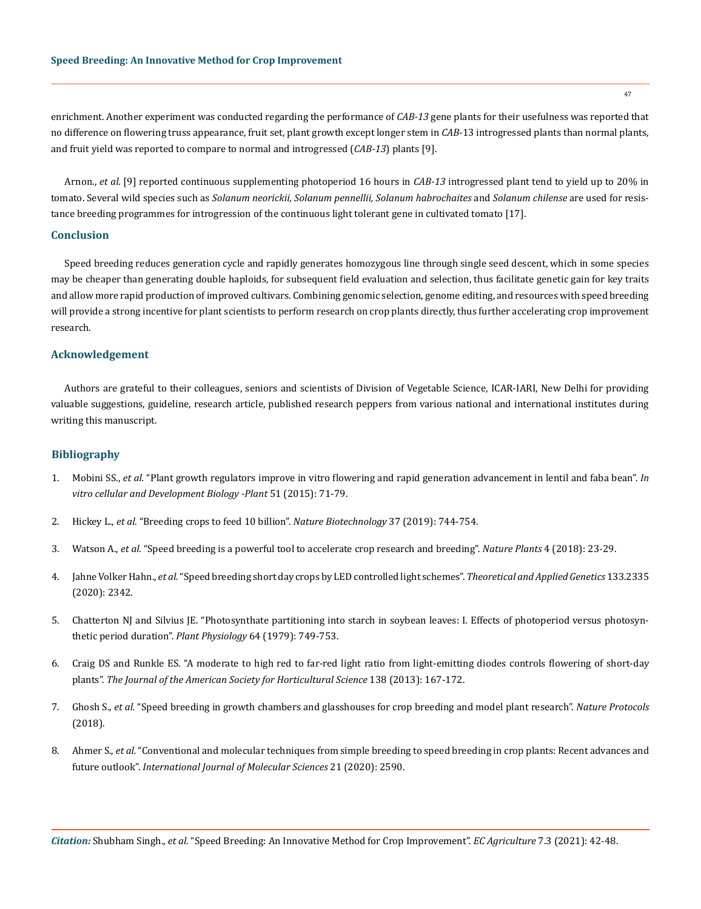enrichment. Another experiment was conducted regarding the performance of *CAB-13* gene plants for their usefulness was reported that no difference on flowering truss appearance, fruit set, plant growth except longer stem in *CAB*-13 introgressed plants than normal plants, and fruit yield was reported to compare to normal and introgressed (*CAB-13*) plants [9].

Arnon., *et al*. [9] reported continuous supplementing photoperiod 16 hours in *CAB-13* introgressed plant tend to yield up to 20% in tomato. Several wild species such as *Solanum neorickii, Solanum pennellii, Solanum habrochaites* and *Solanum chilense* are used for resistance breeding programmes for introgression of the continuous light tolerant gene in cultivated tomato [17].

#### **Conclusion**

Speed breeding reduces generation cycle and rapidly generates homozygous line through single seed descent, which in some species may be cheaper than generating double haploids, for subsequent field evaluation and selection, thus facilitate genetic gain for key traits and allow more rapid production of improved cultivars. Combining genomic selection, genome editing, and resources with speed breeding will provide a strong incentive for plant scientists to perform research on crop plants directly, thus further accelerating crop improvement research.

## **Acknowledgement**

Authors are grateful to their colleagues, seniors and scientists of Division of Vegetable Science, ICAR-IARI, New Delhi for providing valuable suggestions, guideline, research article, published research peppers from various national and international institutes during writing this manuscript.

# **Bibliography**

- 1. Mobini SS., *et al.* ["Plant growth regulators improve in vitro flowering and rapid generation advancement in lentil and faba bean".](https://link.springer.com/article/10.1007/s11627-014-9647-8) *In [vitro cellular and Development Biology -Plant](https://link.springer.com/article/10.1007/s11627-014-9647-8)* 51 (2015): 71-79.
- 2. Hickey L., *et al.* ["Breeding crops to feed 10 billion".](https://www.nature.com/articles/s41587-019-0152-9) *Nature Biotechnology* 37 (2019): 744-754.
- 3. Watson A., *et al.* ["Speed breeding is a powerful tool to accelerate crop research and breeding".](https://www.nature.com/articles/s41477-017-0083-8) *Nature Plants* 4 (2018): 23-29.
- 4. Jahne Volker Hahn., *et al.* ["Speed breeding short day crops by LED controlled light schemes".](https://link.springer.com/article/10.1007/s00122-020-03601-4?fbclid=IwAR18XY6GWPlzwTAo2wow7b8v19Jsl72iaapy3r3p23SmYGWh8kYtDf3dIBg) *Theoretical and Applied Genetics* 133.2335 [\(2020\): 2342.](https://link.springer.com/article/10.1007/s00122-020-03601-4?fbclid=IwAR18XY6GWPlzwTAo2wow7b8v19Jsl72iaapy3r3p23SmYGWh8kYtDf3dIBg)
- 5. [Chatterton NJ and Silvius JE. "Photosynthate partitioning into starch in soybean leaves: I. Effects of photoperiod versus photosyn](http://www.plantphysiol.org/content/plantphysiol/64/5/749.full.pdf)[thetic period duration".](http://www.plantphysiol.org/content/plantphysiol/64/5/749.full.pdf) *Plant Physiology* 64 (1979): 749-753.
- 6. [Craig DS and Runkle ES. "A moderate to high red to far-red light ratio from light-emitting diodes controls flowering of short-day](https://www.researchgate.net/publication/283743450_A_Moderate_to_High_Red_to_Far-red_Light_Ratio_from_Light-emitting_Diodes_Controls_Flowering_of_Short-day_Plants) plants". *[The Journal of the American Society for Horticultural Science](https://www.researchgate.net/publication/283743450_A_Moderate_to_High_Red_to_Far-red_Light_Ratio_from_Light-emitting_Diodes_Controls_Flowering_of_Short-day_Plants)* 138 (2013): 167-172.
- 7. Ghosh S., *et al.* ["Speed breeding in growth chambers and glasshouses for crop breeding and model plant research".](https://www.nature.com/articles/s41596-018-0072-z) *Nature Protocols*  [\(2018\).](https://www.nature.com/articles/s41596-018-0072-z)
- 8. Ahmer S., *et al.* ["Conventional and molecular techniques from simple breeding to speed breeding in crop plants: Recent advances and](https://pubmed.ncbi.nlm.nih.gov/32276445/) future outlook". *[International Journal of Molecular Sciences](https://pubmed.ncbi.nlm.nih.gov/32276445/)* 21 (2020): 2590.

47